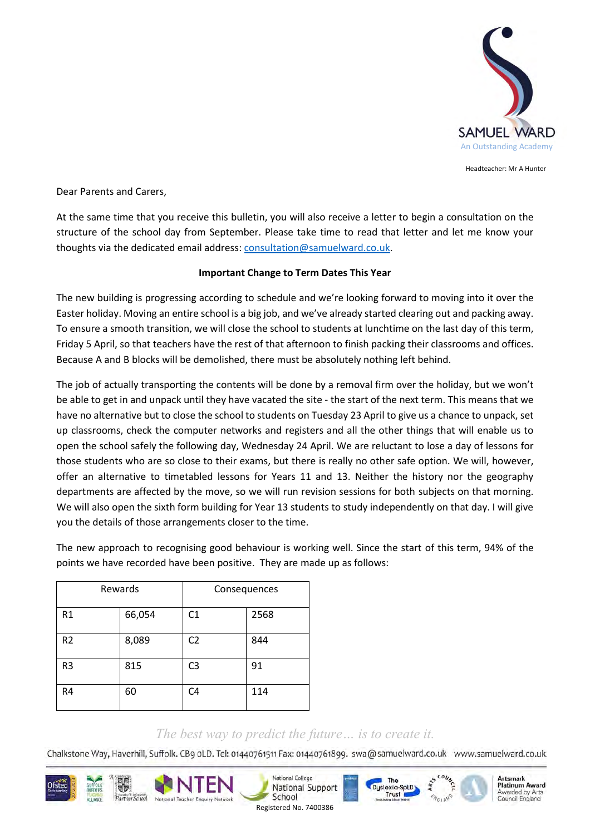

Headteacher: Mr A Hunter

Artemark

**Platinum Award** 

Awarded by Arts

Council England

Dear Parents and Carers,

At the same time that you receive this bulletin, you will also receive a letter to begin a consultation on the structure of the school day from September. Please take time to read that letter and let me know your thoughts via the dedicated email address: [consultation@samuelward.co.uk.](mailto:consultation@samuelward.co.uk)

## **Important Change to Term Dates This Year**

The new building is progressing according to schedule and we're looking forward to moving into it over the Easter holiday. Moving an entire school is a big job, and we've already started clearing out and packing away. To ensure a smooth transition, we will close the school to students at lunchtime on the last day of this term, Friday 5 April, so that teachers have the rest of that afternoon to finish packing their classrooms and offices. Because A and B blocks will be demolished, there must be absolutely nothing left behind.

The job of actually transporting the contents will be done by a removal firm over the holiday, but we won't be able to get in and unpack until they have vacated the site - the start of the next term. This means that we have no alternative but to close the school to students on Tuesday 23 April to give us a chance to unpack, set up classrooms, check the computer networks and registers and all the other things that will enable us to open the school safely the following day, Wednesday 24 April. We are reluctant to lose a day of lessons for those students who are so close to their exams, but there is really no other safe option. We will, however, offer an alternative to timetabled lessons for Years 11 and 13. Neither the history nor the geography departments are affected by the move, so we will run revision sessions for both subjects on that morning. We will also open the sixth form building for Year 13 students to study independently on that day. I will give you the details of those arrangements closer to the time.

The new approach to recognising good behaviour is working well. Since the start of this term, 94% of the points we have recorded have been positive. They are made up as follows:

| Rewards        |        | Consequences   |      |
|----------------|--------|----------------|------|
| R <sub>1</sub> | 66,054 | C <sub>1</sub> | 2568 |
| R <sub>2</sub> | 8,089  | C <sub>2</sub> | 844  |
| R <sub>3</sub> | 815    | C <sub>3</sub> | 91   |
| R4             | 60     | C <sub>4</sub> | 114  |

## *The best way to predict the future… is to create it.*

Chalkstone Way, Haverhill, Suffolk. CB9 oLD. Tel: 01440761511 Fax: 01440761899. swa@samuelward.co.uk www.samuelward.co.uk

The

Duslexic-Sol.D.

Trust